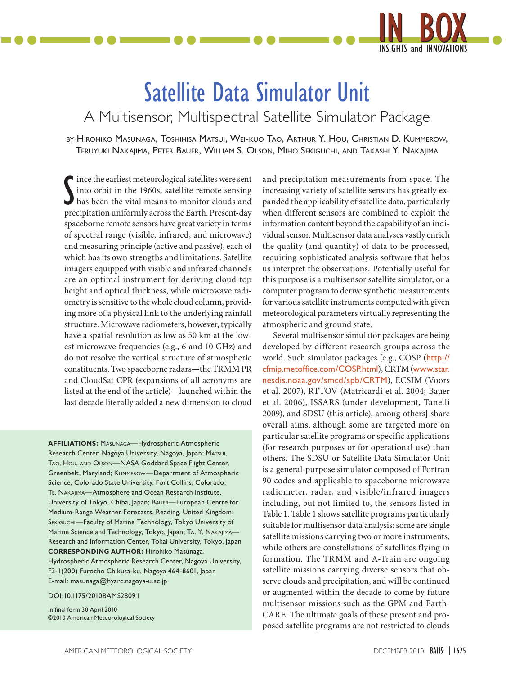

# Satellite Data Simulator Unit

A Multisensor, Multispectral Satellite Simulator Package

by Hirohiko Masunaga, Toshihisa Matsui, Wei-kuo Tao, Arthur Y. Hou, Christian D. Kummerow, Teruyuki Nakajima, Peter Bauer, William S. Olson, Miho Sekiguchi, and Takashi Y. Nakajima

S ince the earliest meteorological satellites were sent into orbit in the 1960s, satellite remote sensing has been the vital means to monitor clouds and precipitation uniformly across the Earth. Present-day ince the earliest meteorological satellites were sent into orbit in the 1960s, satellite remote sensing has been the vital means to monitor clouds and spaceborne remote sensors have great variety in terms of spectral range (visible, infrared, and microwave) and measuring principle (active and passive), each of which has its own strengths and limitations. Satellite imagers equipped with visible and infrared channels are an optimal instrument for deriving cloud-top height and optical thickness, while microwave radiometry is sensitive to the whole cloud column, providing more of a physical link to the underlying rainfall structure. Microwave radiometers, however, typically have a spatial resolution as low as 50 km at the lowest microwave frequencies (e.g., 6 and 10 GHz) and do not resolve the vertical structure of atmospheric constituents. Two spaceborne radars—the TRMM PR and CloudSat CPR (expansions of all acronyms are listed at the end of the article)—launched within the last decade literally added a new dimension to cloud

**Affiliations:** Masunaga—Hydrospheric Atmospheric Research Center, Nagoya University, Nagoya, Japan; MATSUI, TAO, HOU, AND OLSON-NASA Goddard Space Flight Center, Greenbelt, Maryland; Kummerow—Department of Atmospheric Science, Colorado State University, Fort Collins, Colorado; Te. Nakajima—Atmosphere and Ocean Research Institute, University of Tokyo, Chiba, Japan; Bauer—European Centre for Medium-Range Weather Forecasts, Reading, United Kingdom; SEKIGUCHI-Faculty of Marine Technology, Tokyo University of Marine Science and Technology, Tokyo, Japan; Ta. Y. Nakajima— Research and Information Center, Tokai University, Tokyo, Japan **Corresponding Author:** Hirohiko Masunaga, Hydrospheric Atmospheric Research Center, Nagoya University, F3-1(200) Furocho Chikusa-ku, Nagoya 464-8601, Japan

E-mail: [masunaga@hyarc.nagoya-u.ac.jp](mailto:masunaga@hyarc.nagoya-u.ac.jp)

#### DOI:10.1175/2010BAMS2809.1

In final form 30 April 2010 ©2010 American Meteorological Society and precipitation measurements from space. The increasing variety of satellite sensors has greatly expanded the applicability of satellite data, particularly when different sensors are combined to exploit the information content beyond the capability of an individual sensor. Multisensor data analyses vastly enrich the quality (and quantity) of data to be processed, requiring sophisticated analysis software that helps us interpret the observations. Potentially useful for this purpose is a multisensor satellite simulator, or a computer program to derive synthetic measurements for various satellite instruments computed with given meteorological parameters virtually representing the atmospheric and ground state.

Several multisensor simulator packages are being developed by different research groups across the world. Such simulator packages [e.g., COSP ([http://](http://cfmip.metoffice.com/COSP.html) [cfmip.metoffice.com/COSP.html](http://cfmip.metoffice.com/COSP.html)), CRTM ([www.star.](http://www.star.nesdis.noaa.gov/smcd/spb/CRTM) [nesdis.noaa.gov/smcd/spb/CRTM](http://www.star.nesdis.noaa.gov/smcd/spb/CRTM)), ECSIM (Voors et al. 2007), RTTOV (Matricardi et al. 2004; Bauer et al. 2006), ISSARS (under development, Tanelli 2009), and SDSU (this article), among others] share overall aims, although some are targeted more on particular satellite programs or specific applications (for research purposes or for operational use) than others. The SDSU or Satellite Data Simulator Unit is a general-purpose simulator composed of Fortran 90 codes and applicable to spaceborne microwave radiometer, radar, and visible/infrared imagers including, but not limited to, the sensors listed in Table 1. Table 1 shows satellite programs particularly suitable for multisensor data analysis: some are single satellite missions carrying two or more instruments, while others are constellations of satellites flying in formation. The TRMM and A-Train are ongoing satellite missions carrying diverse sensors that observe clouds and precipitation, and will be continued or augmented within the decade to come by future multisensor missions such as the GPM and Earth-CARE. The ultimate goals of these present and proposed satellite programs are not restricted to clouds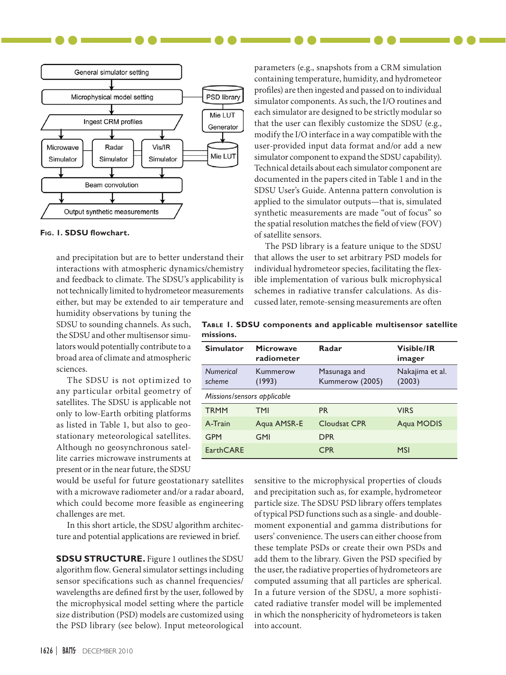

#### **Fig. 1. SDSU flowchart.**

and precipitation but are to better understand their interactions with atmospheric dynamics/chemistry and feedback to climate. The SDSU's applicability is not technically limited to hydrometeor measurements either, but may be extended to air temperature and

humidity observations by tuning the SDSU to sounding channels. As such, the SDSU and other multisensor simulators would potentially contribute to a broad area of climate and atmospheric sciences.

The SDSU is not optimized to any particular orbital geometry of satellites. The SDSU is applicable not only to low-Earth orbiting platforms as listed in Table 1, but also to geostationary meteorological satellites. Although no geosynchronous satellite carries microwave instruments at present or in the near future, the SDSU

would be useful for future geostationary satellites with a microwave radiometer and/or a radar aboard, which could become more feasible as engineering challenges are met.

In this short article, the SDSU algorithm architecture and potential applications are reviewed in brief.

**SDSU STRUCTURE.** Figure 1 outlines the SDSU algorithm flow. General simulator settings including sensor specifications such as channel frequencies/ wavelengths are defined first by the user, followed by the microphysical model setting where the particle size distribution (PSD) models are customized using the PSD library (see below). Input meteorological

parameters (e.g., snapshots from a CRM simulation containing temperature, humidity, and hydrometeor profiles) are then ingested and passed on to individual simulator components. As such, the I/O routines and each simulator are designed to be strictly modular so that the user can flexibly customize the SDSU (e.g., modify the I/O interface in a way compatible with the user-provided input data format and/or add a new simulator component to expand the SDSU capability). Technical details about each simulator component are documented in the papers cited in Table 1 and in the SDSU User's Guide. Antenna pattern convolution is applied to the simulator outputs—that is, simulated synthetic measurements are made "out of focus" so the spatial resolution matches the field of view (FOV) of satellite sensors.

The PSD library is a feature unique to the SDSU that allows the user to set arbitrary PSD models for individual hydrometeor species, facilitating the flexible implementation of various bulk microphysical schemes in radiative transfer calculations. As discussed later, remote-sensing measurements are often

| Simulator Microwave |  | Radar                                                         | <b>Visible/IR</b> |  |  |
|---------------------|--|---------------------------------------------------------------|-------------------|--|--|
| missions.           |  |                                                               |                   |  |  |
|                     |  | TABLE 1. SDSU components and applicable multisensor satellite |                   |  |  |

| <b>Simulator</b>            | Microwave<br>radiometer | Radar                           | <b>Visible/IR</b><br>imager |
|-----------------------------|-------------------------|---------------------------------|-----------------------------|
| <b>Numerical</b><br>scheme  | Kummerow<br>(1993)      | Masunaga and<br>Kummerow (2005) | Nakajima et al.<br>(2003)   |
| Missions/sensors applicable |                         |                                 |                             |
| <b>TRMM</b>                 | <b>TMI</b>              | <b>PR</b>                       | <b>VIRS</b>                 |
| A-Train                     | Aqua AMSR-E             | Cloudsat CPR                    | Agua MODIS                  |
| <b>GPM</b>                  | <b>GMI</b>              | <b>DPR</b>                      |                             |
| <b>EarthCARE</b>            |                         | <b>CPR</b>                      | <b>MSI</b>                  |

sensitive to the microphysical properties of clouds and precipitation such as, for example, hydrometeor particle size. The SDSU PSD library offers templates of typical PSD functions such as a single- and doublemoment exponential and gamma distributions for users' convenience. The users can either choose from these template PSDs or create their own PSDs and add them to the library. Given the PSD specified by the user, the radiative properties of hydrometeors are computed assuming that all particles are spherical. In a future version of the SDSU, a more sophisticated radiative transfer model will be implemented in which the nonsphericity of hydrometeors is taken into account.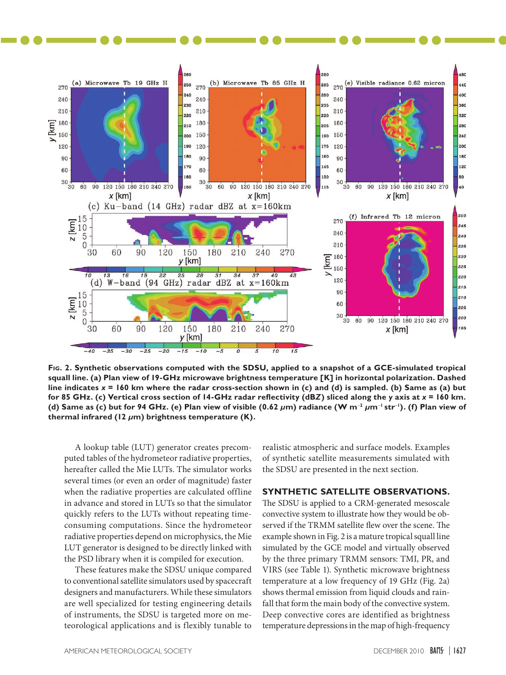

**Fig. 2. Synthetic observations computed with the SDSU, applied to a snapshot of a GCE-simulated tropical squall line. (a) Plan view of 19-GHz microwave brightness temperature [K] in horizontal polarization. Dashed line indicates** *x* **= 160 km where the radar cross-section shown in (c) and (d) is sampled. (b) Same as (a) but for 85 GHz. (c) Vertical cross section of 14-GHz radar reflectivity (dB***Z***) sliced along the** *y* **axis at** *x* **= 160 km. (d) Same as (c) but for 94 GHz. (e) Plan view of visible (0.62** *µ***m) radiance (W m**-**<sup>2</sup>** *µ***m**-**<sup>1</sup> str**-**<sup>1</sup> ). (f) Plan view of thermal infrared (12** *µ***m) brightness temperature (K).**

A lookup table (LUT) generator creates precomputed tables of the hydrometeor radiative properties, hereafter called the Mie LUTs. The simulator works several times (or even an order of magnitude) faster when the radiative properties are calculated offline in advance and stored in LUTs so that the simulator quickly refers to the LUTs without repeating timeconsuming computations. Since the hydrometeor radiative properties depend on microphysics, the Mie LUT generator is designed to be directly linked with the PSD library when it is compiled for execution.

These features make the SDSU unique compared to conventional satellite simulators used by spacecraft designers and manufacturers. While these simulators are well specialized for testing engineering details of instruments, the SDSU is targeted more on meteorological applications and is flexibly tunable to

realistic atmospheric and surface models. Examples of synthetic satellite measurements simulated with the SDSU are presented in the next section.

## **Synthetic Satellite Observations.**

The SDSU is applied to a CRM-generated mesoscale convective system to illustrate how they would be observed if the TRMM satellite flew over the scene. The example shown in Fig. 2 is a mature tropical squall line simulated by the GCE model and virtually observed by the three primary TRMM sensors: TMI, PR, and VIRS (see Table 1). Synthetic microwave brightness temperature at a low frequency of 19 GHz (Fig. 2a) shows thermal emission from liquid clouds and rainfall that form the main body of the convective system. Deep convective cores are identified as brightness temperature depressions in the map of high-frequency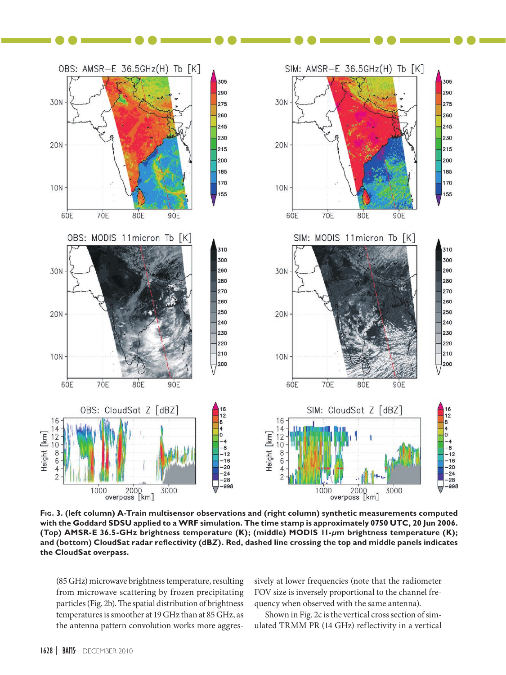

**Fig. 3. (left column) A-Train multisensor observations and (right column) synthetic measurements computed with the Goddard SDSU applied to a WRF simulation. The time stamp is approximately 0750 UTC, 20 Jun 2006. (Top) AMSR-E 36.5-GHz brightness temperature (K); (middle) MODIS 11-***µ***m brightness temperature (K); and (bottom) CloudSat radar reflectivity (dB***Z***). Red, dashed line crossing the top and middle panels indicates the CloudSat overpass.**

(85 GHz) microwave brightness temperature, resulting from microwave scattering by frozen precipitating particles (Fig. 2b). The spatial distribution of brightness temperatures is smoother at 19 GHz than at 85 GHz, as the antenna pattern convolution works more aggressively at lower frequencies (note that the radiometer FOV size is inversely proportional to the channel frequency when observed with the same antenna).

Shown in Fig. 2c is the vertical cross section of simulated TRMM PR (14 GHz) reflectivity in a vertical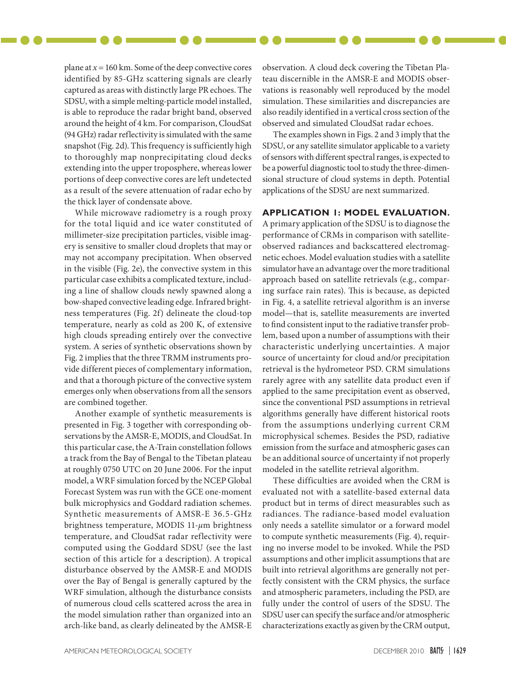plane at  $x = 160$  km. Some of the deep convective cores identified by 85-GHz scattering signals are clearly captured as areas with distinctly large PR echoes. The SDSU, with a simple melting-particle model installed, is able to reproduce the radar bright band, observed around the height of 4 km. For comparison, CloudSat (94 GHz) radar reflectivity is simulated with the same snapshot (Fig. 2d). This frequency is sufficiently high to thoroughly map nonprecipitating cloud decks extending into the upper troposphere, whereas lower portions of deep convective cores are left undetected as a result of the severe attenuation of radar echo by the thick layer of condensate above.

While microwave radiometry is a rough proxy for the total liquid and ice water constituted of millimeter-size precipitation particles, visible imagery is sensitive to smaller cloud droplets that may or may not accompany precipitation. When observed in the visible (Fig. 2e), the convective system in this particular case exhibits a complicated texture, including a line of shallow clouds newly spawned along a bow-shaped convective leading edge. Infrared brightness temperatures (Fig. 2f) delineate the cloud-top temperature, nearly as cold as 200 K, of extensive high clouds spreading entirely over the convective system. A series of synthetic observations shown by Fig. 2 implies that the three TRMM instruments provide different pieces of complementary information, and that a thorough picture of the convective system emerges only when observations from all the sensors are combined together.

Another example of synthetic measurements is presented in Fig. 3 together with corresponding observations by the AMSR-E, MODIS, and CloudSat. In this particular case, the A-Train constellation follows a track from the Bay of Bengal to the Tibetan plateau at roughly 0750 UTC on 20 June 2006. For the input model, a WRF simulation forced by the NCEP Global Forecast System was run with the GCE one-moment bulk microphysics and Goddard radiation schemes. Synthetic measurements of AMSR-E 36.5-GHz brightness temperature, MODIS 11-*µ*m brightness temperature, and CloudSat radar reflectivity were computed using the Goddard SDSU (see the last section of this article for a description). A tropical disturbance observed by the AMSR-E and MODIS over the Bay of Bengal is generally captured by the WRF simulation, although the disturbance consists of numerous cloud cells scattered across the area in the model simulation rather than organized into an arch-like band, as clearly delineated by the AMSR-E

observation. A cloud deck covering the Tibetan Plateau discernible in the AMSR-E and MODIS observations is reasonably well reproduced by the model simulation. These similarities and discrepancies are also readily identified in a vertical cross section of the observed and simulated CloudSat radar echoes.

The examples shown in Figs. 2 and 3 imply that the SDSU, or any satellite simulator applicable to a variety of sensors with different spectral ranges, is expected to be a powerful diagnostic tool to study the three-dimensional structure of cloud systems in depth. Potential applications of the SDSU are next summarized.

## **Application 1: Model Evaluation.**

A primary application of the SDSU is to diagnose the performance of CRMs in comparison with satelliteobserved radiances and backscattered electromagnetic echoes. Model evaluation studies with a satellite simulator have an advantage over the more traditional approach based on satellite retrievals (e.g., comparing surface rain rates). This is because, as depicted in Fig. 4, a satellite retrieval algorithm is an inverse model—that is, satellite measurements are inverted to find consistent input to the radiative transfer problem, based upon a number of assumptions with their characteristic underlying uncertainties. A major source of uncertainty for cloud and/or precipitation retrieval is the hydrometeor PSD. CRM simulations rarely agree with any satellite data product even if applied to the same precipitation event as observed, since the conventional PSD assumptions in retrieval algorithms generally have different historical roots from the assumptions underlying current CRM microphysical schemes. Besides the PSD, radiative emission from the surface and atmospheric gases can be an additional source of uncertainty if not properly modeled in the satellite retrieval algorithm.

These difficulties are avoided when the CRM is evaluated not with a satellite-based external data product but in terms of direct measurables such as radiances. The radiance-based model evaluation only needs a satellite simulator or a forward model to compute synthetic measurements (Fig. 4), requiring no inverse model to be invoked. While the PSD assumptions and other implicit assumptions that are built into retrieval algorithms are generally not perfectly consistent with the CRM physics, the surface and atmospheric parameters, including the PSD, are fully under the control of users of the SDSU. The SDSU user can specify the surface and/or atmospheric characterizations exactly as given by the CRM output,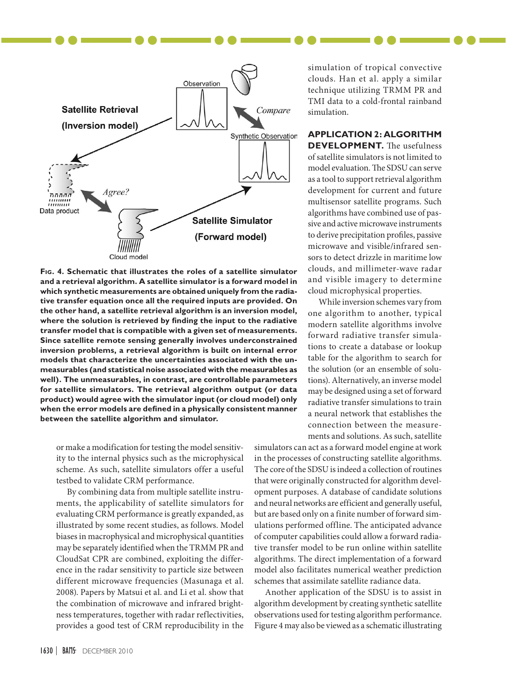

**Fig. 4. Schematic that illustrates the roles of a satellite simulator and a retrieval algorithm. A satellite simulator is a forward model in which synthetic measurements are obtained uniquely from the radiative transfer equation once all the required inputs are provided. On the other hand, a satellite retrieval algorithm is an inversion model, where the solution is retrieved by finding the input to the radiative transfer model that is compatible with a given set of measurements. Since satellite remote sensing generally involves underconstrained inversion problems, a retrieval algorithm is built on internal error models that characterize the uncertainties associated with the unmeasurables (and statistical noise associated with the measurables as well). The unmeasurables, in contrast, are controllable parameters for satellite simulators. The retrieval algorithm output (or data product) would agree with the simulator input (or cloud model) only when the error models are defined in a physically consistent manner between the satellite algorithm and simulator.**

or make a modification for testing the model sensitivity to the internal physics such as the microphysical scheme. As such, satellite simulators offer a useful testbed to validate CRM performance.

By combining data from multiple satellite instruments, the applicability of satellite simulators for evaluating CRM performance is greatly expanded, as illustrated by some recent studies, as follows. Model biases in macrophysical and microphysical quantities may be separately identified when the TRMM PR and CloudSat CPR are combined, exploiting the difference in the radar sensitivity to particle size between different microwave frequencies (Masunaga et al. 2008). Papers by Matsui et al. and Li et al. show that the combination of microwave and infrared brightness temperatures, together with radar reflectivities, provides a good test of CRM reproducibility in the

simulation of tropical convective clouds. Han et al. apply a similar technique utilizing TRMM PR and TMI data to a cold-frontal rainband simulation.

# **Application 2: Algorithm**

**DEVELOPMENT.** The usefulness of satellite simulators is not limited to model evaluation. The SDSU can serve as a tool to support retrieval algorithm development for current and future multisensor satellite programs. Such algorithms have combined use of passive and active microwave instruments to derive precipitation profiles, passive microwave and visible/infrared sensors to detect drizzle in maritime low clouds, and millimeter-wave radar and visible imagery to determine cloud microphysical properties.

While inversion schemes vary from one algorithm to another, typical modern satellite algorithms involve forward radiative transfer simulations to create a database or lookup table for the algorithm to search for the solution (or an ensemble of solutions). Alternatively, an inverse model may be designed using a set of forward radiative transfer simulations to train a neural network that establishes the connection between the measurements and solutions. As such, satellite

simulators can act as a forward model engine at work in the processes of constructing satellite algorithms. The core of the SDSU is indeed a collection of routines that were originally constructed for algorithm development purposes. A database of candidate solutions and neural networks are efficient and generally useful, but are based only on a finite number of forward simulations performed offline. The anticipated advance of computer capabilities could allow a forward radiative transfer model to be run online within satellite algorithms. The direct implementation of a forward model also facilitates numerical weather prediction schemes that assimilate satellite radiance data.

Another application of the SDSU is to assist in algorithm development by creating synthetic satellite observations used for testing algorithm performance. Figure 4 may also be viewed as a schematic illustrating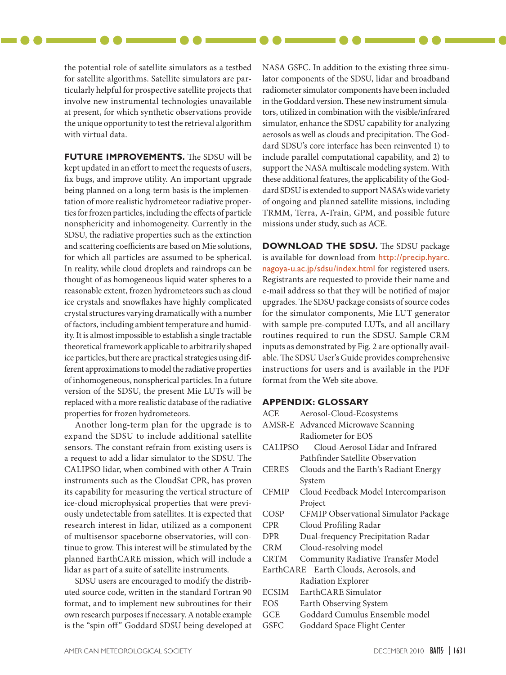the potential role of satellite simulators as a testbed for satellite algorithms. Satellite simulators are particularly helpful for prospective satellite projects that involve new instrumental technologies unavailable at present, for which synthetic observations provide the unique opportunity to test the retrieval algorithm with virtual data.

**Future Improvements.** The SDSU will be kept updated in an effort to meet the requests of users, fix bugs, and improve utility. An important upgrade being planned on a long-term basis is the implementation of more realistic hydrometeor radiative properties for frozen particles, including the effects of particle nonsphericity and inhomogeneity. Currently in the SDSU, the radiative properties such as the extinction and scattering coefficients are based on Mie solutions, for which all particles are assumed to be spherical. In reality, while cloud droplets and raindrops can be thought of as homogeneous liquid water spheres to a reasonable extent, frozen hydrometeors such as cloud ice crystals and snowflakes have highly complicated crystal structures varying dramatically with a number of factors, including ambient temperature and humidity. It is almost impossible to establish a single tractable theoretical framework applicable to arbitrarily shaped ice particles, but there are practical strategies using different approximations to model the radiative properties of inhomogeneous, nonspherical particles. In a future version of the SDSU, the present Mie LUTs will be replaced with a more realistic database of the radiative properties for frozen hydrometeors.

Another long-term plan for the upgrade is to expand the SDSU to include additional satellite sensors. The constant refrain from existing users is a request to add a lidar simulator to the SDSU. The CALIPSO lidar, when combined with other A-Train instruments such as the CloudSat CPR, has proven its capability for measuring the vertical structure of ice-cloud microphysical properties that were previously undetectable from satellites. It is expected that research interest in lidar, utilized as a component of multisensor spaceborne observatories, will continue to grow. This interest will be stimulated by the planned EarthCARE mission, which will include a lidar as part of a suite of satellite instruments.

SDSU users are encouraged to modify the distributed source code, written in the standard Fortran 90 format, and to implement new subroutines for their own research purposes if necessary. A notable example is the "spin off" Goddard SDSU being developed at NASA GSFC. In addition to the existing three simulator components of the SDSU, lidar and broadband radiometer simulator components have been included in the Goddard version. These new instrument simulators, utilized in combination with the visible/infrared simulator, enhance the SDSU capability for analyzing aerosols as well as clouds and precipitation. The Goddard SDSU's core interface has been reinvented 1) to include parallel computational capability, and 2) to support the NASA multiscale modeling system. With these additional features, the applicability of the Goddard SDSU is extended to support NASA's wide variety of ongoing and planned satellite missions, including TRMM, Terra, A-Train, GPM, and possible future missions under study, such as ACE.

**Download the SDSU.** The SDSU package is available for download from [http://precip.hyarc.](http://precip.hyarc.nagoya-u.ac.jp/sdsu/index.html) [nagoya-u.ac.jp/sdsu/index.html](http://precip.hyarc.nagoya-u.ac.jp/sdsu/index.html) for registered users. Registrants are requested to provide their name and e-mail address so that they will be notified of major upgrades. The SDSU package consists of source codes for the simulator components, Mie LUT generator with sample pre-computed LUTs, and all ancillary routines required to run the SDSU. Sample CRM inputs as demonstrated by Fig. 2 are optionally available. The SDSU User's Guide provides comprehensive instructions for users and is available in the PDF format from the Web site above.

#### **Appendix: Glossary**

| ACE            | Aerosol-Cloud-Ecosystems              |  |
|----------------|---------------------------------------|--|
|                | AMSR-E Advanced Microwave Scanning    |  |
|                | Radiometer for EOS                    |  |
| <b>CALIPSO</b> | Cloud-Aerosol Lidar and Infrared      |  |
|                | Pathfinder Satellite Observation      |  |
| <b>CERES</b>   | Clouds and the Earth's Radiant Energy |  |
|                | System                                |  |
| <b>CFMIP</b>   | Cloud Feedback Model Intercomparison  |  |
|                | Project                               |  |
| COSP           | CFMIP Observational Simulator Package |  |
| <b>CPR</b>     | Cloud Profiling Radar                 |  |
| <b>DPR</b>     | Dual-frequency Precipitation Radar    |  |
| CRM            | Cloud-resolving model                 |  |
| <b>CRTM</b>    | Community Radiative Transfer Model    |  |
|                | EarthCARE Earth Clouds, Aerosols, and |  |
|                | Radiation Explorer                    |  |
| <b>ECSIM</b>   | EarthCARE Simulator                   |  |
| EOS            | Earth Observing System                |  |
| GCE            | Goddard Cumulus Ensemble model        |  |

GSFC Goddard Space Flight Center